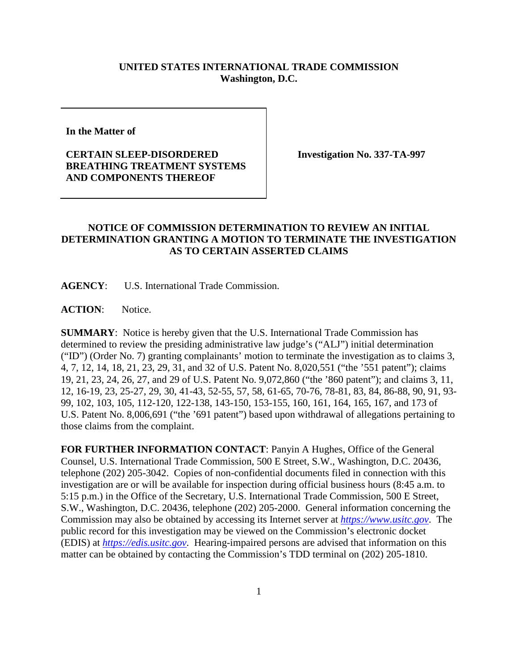## **UNITED STATES INTERNATIONAL TRADE COMMISSION Washington, D.C.**

**In the Matter of** 

## **CERTAIN SLEEP-DISORDERED BREATHING TREATMENT SYSTEMS AND COMPONENTS THEREOF**

**Investigation No. 337-TA-997**

## **NOTICE OF COMMISSION DETERMINATION TO REVIEW AN INITIAL DETERMINATION GRANTING A MOTION TO TERMINATE THE INVESTIGATION AS TO CERTAIN ASSERTED CLAIMS**

**AGENCY**: U.S. International Trade Commission.

**ACTION**: Notice.

**SUMMARY**: Notice is hereby given that the U.S. International Trade Commission has determined to review the presiding administrative law judge's ("ALJ") initial determination ("ID") (Order No. 7) granting complainants' motion to terminate the investigation as to claims 3, 4, 7, 12, 14, 18, 21, 23, 29, 31, and 32 of U.S. Patent No. 8,020,551 ("the '551 patent"); claims 19, 21, 23, 24, 26, 27, and 29 of U.S. Patent No. 9,072,860 ("the '860 patent"); and claims 3, 11, 12, 16-19, 23, 25-27, 29, 30, 41-43, 52-55, 57, 58, 61-65, 70-76, 78-81, 83, 84, 86-88, 90, 91, 93- 99, 102, 103, 105, 112-120, 122-138, 143-150, 153-155, 160, 161, 164, 165, 167, and 173 of U.S. Patent No. 8,006,691 ("the '691 patent") based upon withdrawal of allegations pertaining to those claims from the complaint.

**FOR FURTHER INFORMATION CONTACT**: Panyin A Hughes, Office of the General Counsel, U.S. International Trade Commission, 500 E Street, S.W., Washington, D.C. 20436, telephone (202) 205-3042. Copies of non-confidential documents filed in connection with this investigation are or will be available for inspection during official business hours (8:45 a.m. to 5:15 p.m.) in the Office of the Secretary, U.S. International Trade Commission, 500 E Street, S.W., Washington, D.C. 20436, telephone (202) 205-2000. General information concerning the Commission may also be obtained by accessing its Internet server at *[https://www.usitc.gov](https://www.usitc.gov/)*. The public record for this investigation may be viewed on the Commission's electronic docket (EDIS) at *[https://edis.usitc.gov](https://edis.usitc.gov/)*. Hearing-impaired persons are advised that information on this matter can be obtained by contacting the Commission's TDD terminal on (202) 205-1810.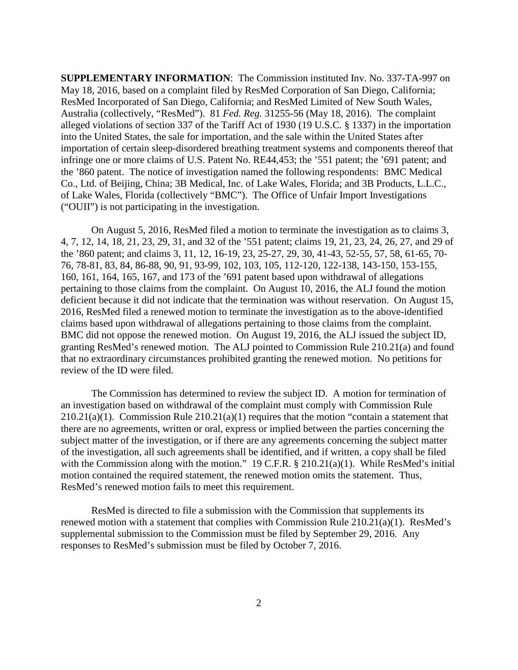**SUPPLEMENTARY INFORMATION**: The Commission instituted Inv. No. 337-TA-997 on May 18, 2016, based on a complaint filed by ResMed Corporation of San Diego, California; ResMed Incorporated of San Diego, California; and ResMed Limited of New South Wales, Australia (collectively, "ResMed"). 81 *Fed. Reg.* 31255-56 (May 18, 2016). The complaint alleged violations of section 337 of the Tariff Act of 1930 (19 U.S.C. § 1337) in the importation into the United States, the sale for importation, and the sale within the United States after importation of certain sleep-disordered breathing treatment systems and components thereof that infringe one or more claims of U.S. Patent No. RE44,453; the '551 patent; the '691 patent; and the '860 patent. The notice of investigation named the following respondents: BMC Medical Co., Ltd. of Beijing, China; 3B Medical, Inc. of Lake Wales, Florida; and 3B Products, L.L.C., of Lake Wales, Florida (collectively "BMC"). The Office of Unfair Import Investigations ("OUII") is not participating in the investigation.

On August 5, 2016, ResMed filed a motion to terminate the investigation as to claims 3, 4, 7, 12, 14, 18, 21, 23, 29, 31, and 32 of the '551 patent; claims 19, 21, 23, 24, 26, 27, and 29 of the '860 patent; and claims 3, 11, 12, 16-19, 23, 25-27, 29, 30, 41-43, 52-55, 57, 58, 61-65, 70- 76, 78-81, 83, 84, 86-88, 90, 91, 93-99, 102, 103, 105, 112-120, 122-138, 143-150, 153-155, 160, 161, 164, 165, 167, and 173 of the '691 patent based upon withdrawal of allegations pertaining to those claims from the complaint. On August 10, 2016, the ALJ found the motion deficient because it did not indicate that the termination was without reservation. On August 15, 2016, ResMed filed a renewed motion to terminate the investigation as to the above-identified claims based upon withdrawal of allegations pertaining to those claims from the complaint. BMC did not oppose the renewed motion. On August 19, 2016, the ALJ issued the subject ID, granting ResMed's renewed motion. The ALJ pointed to Commission Rule 210.21(a) and found that no extraordinary circumstances prohibited granting the renewed motion. No petitions for review of the ID were filed.

The Commission has determined to review the subject ID. A motion for termination of an investigation based on withdrawal of the complaint must comply with Commission Rule  $210.21(a)(1)$ . Commission Rule  $210.21(a)(1)$  requires that the motion "contain a statement that there are no agreements, written or oral, express or implied between the parties concerning the subject matter of the investigation, or if there are any agreements concerning the subject matter of the investigation, all such agreements shall be identified, and if written, a copy shall be filed with the Commission along with the motion." 19 C.F.R. § 210.21(a)(1). While ResMed's initial motion contained the required statement, the renewed motion omits the statement. Thus, ResMed's renewed motion fails to meet this requirement.

ResMed is directed to file a submission with the Commission that supplements its renewed motion with a statement that complies with Commission Rule 210.21(a)(1). ResMed's supplemental submission to the Commission must be filed by September 29, 2016. Any responses to ResMed's submission must be filed by October 7, 2016.